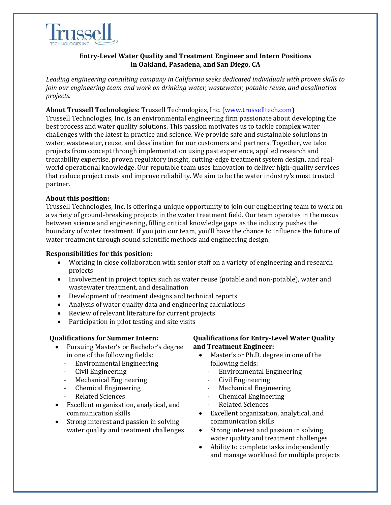

# **Entry-Level Water Quality and Treatment Engineer and Intern Positions In Oakland, Pasadena, and San Diego, CA**

*Leading engineering consulting company in California seeks dedicated individuals with proven skills to join our engineering team and work on drinking water, wastewater, potable reuse, and desalination projects.* 

### **About Trussell Technologies:** Trussell Technologies, Inc. (www.trusselltech.com)

Trussell Technologies, Inc. is an environmental engineering firm passionate about developing the best process and water quality solutions. This passion motivates us to tackle complex water challenges with the latest in practice and science. We provide safe and sustainable solutions in water, wastewater, reuse, and desalination for our customers and partners. Together, we take projects from concept through implementation using past experience, applied research and treatability expertise, proven regulatory insight, cutting-edge treatment system design, and realworld operational knowledge. Our reputable team uses innovation to deliver high-quality services that reduce project costs and improve reliability. We aim to be the water industry's most trusted partner.

## **About this position:**

Trussell Technologies, Inc. is offering a unique opportunity to join our engineering team to work on a variety of ground-breaking projects in the water treatment field. Our team operates in the nexus between science and engineering, filling critical knowledge gaps as the industry pushes the boundary of water treatment. If you join our team, you'll have the chance to influence the future of water treatment through sound scientific methods and engineering design.

#### **Responsibilities for this position:**

- Working in close collaboration with senior staff on a variety of engineering and research projects
- Involvement in project topics such as water reuse (potable and non-potable), water and wastewater treatment, and desalination
- Development of treatment designs and technical reports
- Analysis of water quality data and engineering calculations
- Review of relevant literature for current projects
- Participation in pilot testing and site visits

#### **Qualifications for Summer Intern:**

- Pursuing Master's or Bachelor's degree in one of the following fields:
	- Environmental Engineering
	- Civil Engineering
	- Mechanical Engineering
	- Chemical Engineering
	- Related Sciences
- Excellent organization, analytical, and communication skills
- Strong interest and passion in solving water quality and treatment challenges

## **Qualifications for Entry-Level Water Quality and Treatment Engineer:**

- Master's or Ph.D. degree in one of the following fields:
	- Environmental Engineering
	- Civil Engineering
	- Mechanical Engineering
	- Chemical Engineering
	- Related Sciences
- Excellent organization, analytical, and communication skills
- Strong interest and passion in solving water quality and treatment challenges
- Ability to complete tasks independently and manage workload for multiple projects